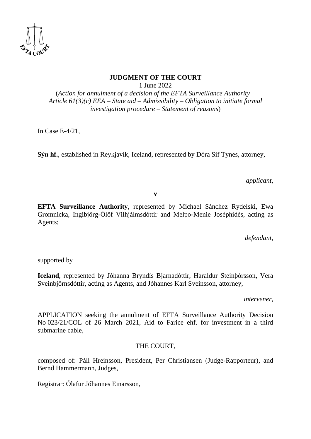

# **JUDGMENT OF THE COURT**

1 June 2022

(*Action for annulment of a decision of the EFTA Surveillance Authority – Article 61(3)(c) EEA – State aid – Admissibility – Obligation to initiate formal investigation procedure – Statement of reasons*)

In Case E-4/21,

**Sýn hf.**, established in Reykjavík, Iceland, represented by Dóra Sif Tynes, attorney,

*applicant*,

**v**

**EFTA Surveillance Authority**, represented by Michael Sánchez Rydelski, Ewa Gromnicka, Ingibjörg-Ólöf Vilhjálmsdóttir and Melpo-Menie Joséphidès, acting as Agents;

*defendant*,

supported by

**Iceland**, represented by Jóhanna Bryndís Bjarnadóttir, Haraldur Steinþórsson, Vera Sveinbjörnsdóttir, acting as Agents, and Jóhannes Karl Sveinsson, attorney,

*intervener*,

APPLICATION seeking the annulment of EFTA Surveillance Authority Decision No 023/21/COL of 26 March 2021, Aid to Farice ehf. for investment in a third submarine cable,

## THE COURT,

composed of: Páll Hreinsson, President, Per Christiansen (Judge-Rapporteur), and Bernd Hammermann, Judges,

Registrar: Ólafur Jóhannes Einarsson,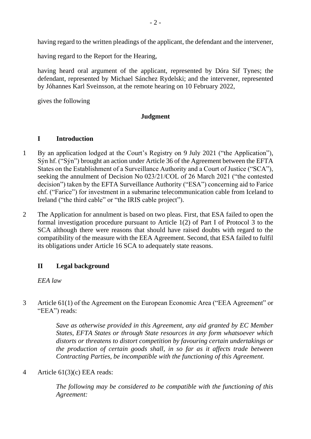having regard to the written pleadings of the applicant, the defendant and the intervener,

having regard to the Report for the Hearing,

having heard oral argument of the applicant, represented by Dóra Sif Tynes; the defendant, represented by Michael Sánchez Rydelski; and the intervener, represented by Jóhannes Karl Sveinsson, at the remote hearing on 10 February 2022,

gives the following

#### **Judgment**

#### **I Introduction**

- 1 By an application lodged at the Court's Registry on 9 July 2021 ("the Application"), Sýn hf. ("Sýn") brought an action under Article 36 of the Agreement between the EFTA States on the Establishment of a Surveillance Authority and a Court of Justice ("SCA"), seeking the annulment of Decision No 023/21/COL of 26 March 2021 ("the contested decision") taken by the EFTA Surveillance Authority ("ESA") concerning aid to Farice ehf. ("Farice") for investment in a submarine telecommunication cable from Iceland to Ireland ("the third cable" or "the IRIS cable project").
- 2 The Application for annulment is based on two pleas. First, that ESA failed to open the formal investigation procedure pursuant to Article 1(2) of Part I of Protocol 3 to the SCA although there were reasons that should have raised doubts with regard to the compatibility of the measure with the EEA Agreement. Second, that ESA failed to fulfil its obligations under Article 16 SCA to adequately state reasons.

#### **II Legal background**

*EEA law*

3 Article 61(1) of the Agreement on the European Economic Area ("EEA Agreement" or "EEA") reads:

> *Save as otherwise provided in this Agreement, any aid granted by EC Member States, EFTA States or through State resources in any form whatsoever which distorts or threatens to distort competition by favouring certain undertakings or the production of certain goods shall, in so far as it affects trade between Contracting Parties, be incompatible with the functioning of this Agreement.*

## 4 Article 61(3)(c) EEA reads:

*The following may be considered to be compatible with the functioning of this Agreement:*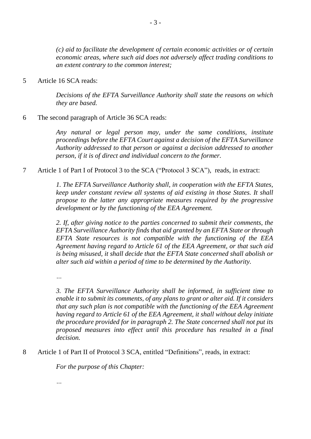*(c) aid to facilitate the development of certain economic activities or of certain economic areas, where such aid does not adversely affect trading conditions to an extent contrary to the common interest;*

5 Article 16 SCA reads:

*Decisions of the EFTA Surveillance Authority shall state the reasons on which they are based.*

#### 6 The second paragraph of Article 36 SCA reads:

*Any natural or legal person may, under the same conditions, institute proceedings before the EFTA Court against a decision of the EFTA Surveillance Authority addressed to that person or against a decision addressed to another person, if it is of direct and individual concern to the former.*

#### 7 Article 1 of Part I of Protocol 3 to the SCA ("Protocol 3 SCA"), reads, in extract:

*1. The EFTA Surveillance Authority shall, in cooperation with the EFTA States, keep under constant review all systems of aid existing in those States. It shall propose to the latter any appropriate measures required by the progressive development or by the functioning of the EEA Agreement.*

*2. If, after giving notice to the parties concerned to submit their comments, the EFTA Surveillance Authority finds that aid granted by an EFTA State or through EFTA State resources is not compatible with the functioning of the EEA Agreement having regard to Article 61 of the EEA Agreement, or that such aid is being misused, it shall decide that the EFTA State concerned shall abolish or alter such aid within a period of time to be determined by the Authority.*

*…*

*3. The EFTA Surveillance Authority shall be informed, in sufficient time to enable it to submit its comments, of any plans to grant or alter aid. If it considers that any such plan is not compatible with the functioning of the EEA Agreement having regard to Article 61 of the EEA Agreement, it shall without delay initiate the procedure provided for in paragraph 2. The State concerned shall not put its proposed measures into effect until this procedure has resulted in a final decision.*

8 Article 1 of Part II of Protocol 3 SCA, entitled "Definitions", reads, in extract:

*For the purpose of this Chapter:*

*…*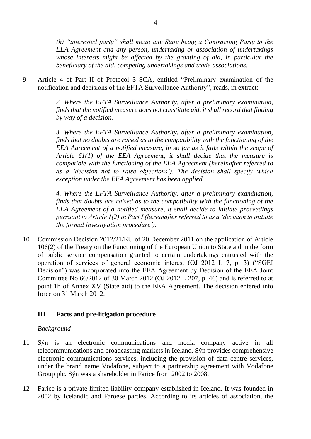*(h) "interested party" shall mean any State being a Contracting Party to the EEA Agreement and any person, undertaking or association of undertakings whose interests might be affected by the granting of aid, in particular the beneficiary of the aid, competing undertakings and trade associations.*

9 Article 4 of Part II of Protocol 3 SCA, entitled "Preliminary examination of the notification and decisions of the EFTA Surveillance Authority", reads, in extract:

> *2. Where the EFTA Surveillance Authority, after a preliminary examination, finds that the notified measure does not constitute aid, it shall record that finding by way of a decision.*

> *3. Where the EFTA Surveillance Authority, after a preliminary examination, finds that no doubts are raised as to the compatibility with the functioning of the EEA Agreement of a notified measure, in so far as it falls within the scope of Article 61(1) of the EEA Agreement, it shall decide that the measure is compatible with the functioning of the EEA Agreement (hereinafter referred to as a 'decision not to raise objections'). The decision shall specify which exception under the EEA Agreement has been applied.*

> *4. Where the EFTA Surveillance Authority, after a preliminary examination, finds that doubts are raised as to the compatibility with the functioning of the EEA Agreement of a notified measure, it shall decide to initiate proceedings pursuant to Article 1(2) in Part I (hereinafter referred to as a 'decision to initiate the formal investigation procedure').*

10 Commission Decision 2012/21/EU of 20 December 2011 on the application of Article 106(2) of the Treaty on the Functioning of the European Union to State aid in the form of public service compensation granted to certain undertakings entrusted with the operation of services of general economic interest (OJ 2012 L 7, p. 3) ("SGEI Decision") was incorporated into the EEA Agreement by Decision of the EEA Joint Committee No 66/2012 of 30 March 2012 (OJ 2012 L 207, p. 46) and is referred to at point 1h of Annex XV (State aid) to the EEA Agreement. The decision entered into force on 31 March 2012.

## **III Facts and pre-litigation procedure**

## *Background*

- 11 Sýn is an electronic communications and media company active in all telecommunications and broadcasting markets in Iceland. Sýn provides comprehensive electronic communications services, including the provision of data centre services, under the brand name Vodafone, subject to a partnership agreement with Vodafone Group plc. Sýn was a shareholder in Farice from 2002 to 2008.
- 12 Farice is a private limited liability company established in Iceland. It was founded in 2002 by Icelandic and Faroese parties. According to its articles of association, the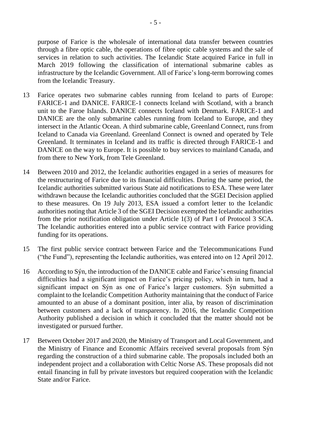purpose of Farice is the wholesale of international data transfer between countries through a fibre optic cable, the operations of fibre optic cable systems and the sale of services in relation to such activities. The Icelandic State acquired Farice in full in March 2019 following the classification of international submarine cables as infrastructure by the Icelandic Government. All of Farice's long-term borrowing comes from the Icelandic Treasury.

- 13 Farice operates two submarine cables running from Iceland to parts of Europe: FARICE-1 and DANICE. FARICE-1 connects Iceland with Scotland, with a branch unit to the Faroe Islands. DANICE connects Iceland with Denmark. FARICE-1 and DANICE are the only submarine cables running from Iceland to Europe, and they intersect in the Atlantic Ocean. A third submarine cable, Greenland Connect, runs from Iceland to Canada via Greenland. Greenland Connect is owned and operated by Tele Greenland. It terminates in Iceland and its traffic is directed through FARICE-1 and DANICE on the way to Europe. It is possible to buy services to mainland Canada, and from there to New York, from Tele Greenland.
- 14 Between 2010 and 2012, the Icelandic authorities engaged in a series of measures for the restructuring of Farice due to its financial difficulties. During the same period, the Icelandic authorities submitted various State aid notifications to ESA. These were later withdrawn because the Icelandic authorities concluded that the SGEI Decision applied to these measures. On 19 July 2013, ESA issued a comfort letter to the Icelandic authorities noting that Article 3 of the SGEI Decision exempted the Icelandic authorities from the prior notification obligation under Article 1(3) of Part I of Protocol 3 SCA. The Icelandic authorities entered into a public service contract with Farice providing funding for its operations.
- 15 The first public service contract between Farice and the Telecommunications Fund ("the Fund"), representing the Icelandic authorities, was entered into on 12 April 2012.
- 16 According to Sýn, the introduction of the DANICE cable and Farice's ensuing financial difficulties had a significant impact on Farice's pricing policy, which in turn, had a significant impact on Sýn as one of Farice's larger customers. Sýn submitted a complaint to the Icelandic Competition Authority maintaining that the conduct of Farice amounted to an abuse of a dominant position, inter alia, by reason of discrimination between customers and a lack of transparency. In 2016, the Icelandic Competition Authority published a decision in which it concluded that the matter should not be investigated or pursued further.
- 17 Between October 2017 and 2020, the Ministry of Transport and Local Government, and the Ministry of Finance and Economic Affairs received several proposals from Sýn regarding the construction of a third submarine cable. The proposals included both an independent project and a collaboration with Celtic Norse AS. These proposals did not entail financing in full by private investors but required cooperation with the Icelandic State and/or Farice.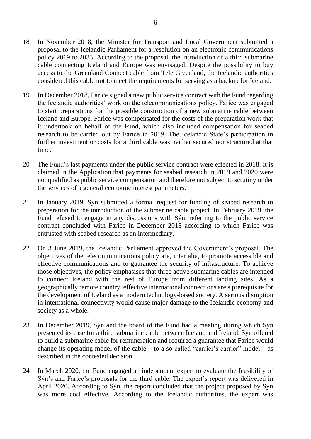- 18 In November 2018, the Minister for Transport and Local Government submitted a proposal to the Icelandic Parliament for a resolution on an electronic communications policy 2019 to 2033. According to the proposal, the introduction of a third submarine cable connecting Iceland and Europe was envisaged. Despite the possibility to buy access to the Greenland Connect cable from Tele Greenland, the Icelandic authorities considered this cable not to meet the requirements for serving as a backup for Iceland.
- 19 In December 2018, Farice signed a new public service contract with the Fund regarding the Icelandic authorities' work on the telecommunications policy. Farice was engaged to start preparations for the possible construction of a new submarine cable between Iceland and Europe. Farice was compensated for the costs of the preparation work that it undertook on behalf of the Fund, which also included compensation for seabed research to be carried out by Farice in 2019. The Icelandic State's participation in further investment or costs for a third cable was neither secured nor structured at that time.
- 20 The Fund's last payments under the public service contract were effected in 2018. It is claimed in the Application that payments for seabed research in 2019 and 2020 were not qualified as public service compensation and therefore not subject to scrutiny under the services of a general economic interest parameters.
- 21 In January 2019, Sýn submitted a formal request for funding of seabed research in preparation for the introduction of the submarine cable project. In February 2019, the Fund refused to engage in any discussions with Sýn, referring to the public service contract concluded with Farice in December 2018 according to which Farice was entrusted with seabed research as an intermediary.
- 22 On 3 June 2019, the Icelandic Parliament approved the Government's proposal. The objectives of the telecommunications policy are, inter alia, to promote accessible and effective communications and to guarantee the security of infrastructure. To achieve those objectives, the policy emphasises that three active submarine cables are intended to connect Iceland with the rest of Europe from different landing sites. As a geographically remote country, effective international connections are a prerequisite for the development of Iceland as a modern technology-based society. A serious disruption in international connectivity would cause major damage to the Icelandic economy and society as a whole.
- 23 In December 2019, Sýn and the board of the Fund had a meeting during which Sýn presented its case for a third submarine cable between Iceland and Ireland. Sýn offered to build a submarine cable for remuneration and required a guarantee that Farice would change its operating model of the cable – to a so-called "carrier's carrier" model – as described in the contested decision.
- 24 In March 2020, the Fund engaged an independent expert to evaluate the feasibility of Sýn's and Farice's proposals for the third cable. The expert's report was delivered in April 2020. According to Sýn, the report concluded that the project proposed by Sýn was more cost effective. According to the Icelandic authorities, the expert was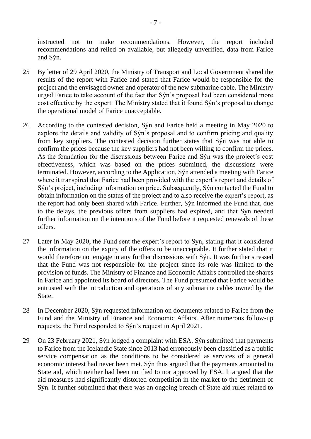instructed not to make recommendations. However, the report included recommendations and relied on available, but allegedly unverified, data from Farice and Sýn.

- 25 By letter of 29 April 2020, the Ministry of Transport and Local Government shared the results of the report with Farice and stated that Farice would be responsible for the project and the envisaged owner and operator of the new submarine cable. The Ministry urged Farice to take account of the fact that Sýn's proposal had been considered more cost effective by the expert. The Ministry stated that it found Sýn's proposal to change the operational model of Farice unacceptable.
- 26 According to the contested decision, Sýn and Farice held a meeting in May 2020 to explore the details and validity of Sýn's proposal and to confirm pricing and quality from key suppliers. The contested decision further states that Sýn was not able to confirm the prices because the key suppliers had not been willing to confirm the prices. As the foundation for the discussions between Farice and Sýn was the project's cost effectiveness, which was based on the prices submitted, the discussions were terminated. However, according to the Application, Sýn attended a meeting with Farice where it transpired that Farice had been provided with the expert's report and details of Sýn's project, including information on price. Subsequently, Sýn contacted the Fund to obtain information on the status of the project and to also receive the expert's report, as the report had only been shared with Farice. Further, Sýn informed the Fund that, due to the delays, the previous offers from suppliers had expired, and that Sýn needed further information on the intentions of the Fund before it requested renewals of these offers.
- 27 Later in May 2020, the Fund sent the expert's report to Sýn, stating that it considered the information on the expiry of the offers to be unacceptable. It further stated that it would therefore not engage in any further discussions with Sýn. It was further stressed that the Fund was not responsible for the project since its role was limited to the provision of funds. The Ministry of Finance and Economic Affairs controlled the shares in Farice and appointed its board of directors. The Fund presumed that Farice would be entrusted with the introduction and operations of any submarine cables owned by the State.
- 28 In December 2020, Sýn requested information on documents related to Farice from the Fund and the Ministry of Finance and Economic Affairs. After numerous follow-up requests, the Fund responded to Sýn's request in April 2021.
- 29 On 23 February 2021, Sýn lodged a complaint with ESA. Sýn submitted that payments to Farice from the Icelandic State since 2013 had erroneously been classified as a public service compensation as the conditions to be considered as services of a general economic interest had never been met. Sýn thus argued that the payments amounted to State aid, which neither had been notified to nor approved by ESA. It argued that the aid measures had significantly distorted competition in the market to the detriment of Sýn. It further submitted that there was an ongoing breach of State aid rules related to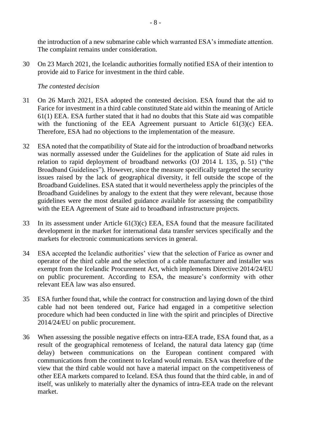the introduction of a new submarine cable which warranted ESA's immediate attention. The complaint remains under consideration.

30 On 23 March 2021, the Icelandic authorities formally notified ESA of their intention to provide aid to Farice for investment in the third cable.

#### *The contested decision*

- 31 On 26 March 2021, ESA adopted the contested decision. ESA found that the aid to Farice for investment in a third cable constituted State aid within the meaning of Article 61(1) EEA. ESA further stated that it had no doubts that this State aid was compatible with the functioning of the EEA Agreement pursuant to Article 61(3)(c) EEA. Therefore, ESA had no objections to the implementation of the measure.
- 32 ESA noted that the compatibility of State aid for the introduction of broadband networks was normally assessed under the Guidelines for the application of State aid rules in relation to rapid deployment of broadband networks (OJ 2014 L 135, p. 51) ("the Broadband Guidelines"). However, since the measure specifically targeted the security issues raised by the lack of geographical diversity, it fell outside the scope of the Broadband Guidelines. ESA stated that it would nevertheless apply the principles of the Broadband Guidelines by analogy to the extent that they were relevant, because those guidelines were the most detailed guidance available for assessing the compatibility with the EEA Agreement of State aid to broadband infrastructure projects.
- 33 In its assessment under Article 61(3)(c) EEA, ESA found that the measure facilitated development in the market for international data transfer services specifically and the markets for electronic communications services in general.
- 34 ESA accepted the Icelandic authorities' view that the selection of Farice as owner and operator of the third cable and the selection of a cable manufacturer and installer was exempt from the Icelandic Procurement Act, which implements Directive 2014/24/EU on public procurement. According to ESA, the measure's conformity with other relevant EEA law was also ensured.
- 35 ESA further found that, while the contract for construction and laying down of the third cable had not been tendered out, Farice had engaged in a competitive selection procedure which had been conducted in line with the spirit and principles of Directive 2014/24/EU on public procurement.
- 36 When assessing the possible negative effects on intra-EEA trade, ESA found that, as a result of the geographical remoteness of Iceland, the natural data latency gap (time delay) between communications on the European continent compared with communications from the continent to Iceland would remain. ESA was therefore of the view that the third cable would not have a material impact on the competitiveness of other EEA markets compared to Iceland. ESA thus found that the third cable, in and of itself, was unlikely to materially alter the dynamics of intra-EEA trade on the relevant market.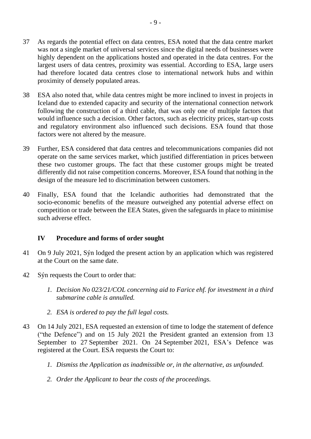- 37 As regards the potential effect on data centres, ESA noted that the data centre market was not a single market of universal services since the digital needs of businesses were highly dependent on the applications hosted and operated in the data centres. For the largest users of data centres, proximity was essential. According to ESA, large users had therefore located data centres close to international network hubs and within proximity of densely populated areas.
- 38 ESA also noted that, while data centres might be more inclined to invest in projects in Iceland due to extended capacity and security of the international connection network following the construction of a third cable, that was only one of multiple factors that would influence such a decision. Other factors, such as electricity prices, start-up costs and regulatory environment also influenced such decisions. ESA found that those factors were not altered by the measure.
- 39 Further, ESA considered that data centres and telecommunications companies did not operate on the same services market, which justified differentiation in prices between these two customer groups. The fact that these customer groups might be treated differently did not raise competition concerns. Moreover, ESA found that nothing in the design of the measure led to discrimination between customers.
- 40 Finally, ESA found that the Icelandic authorities had demonstrated that the socio-economic benefits of the measure outweighed any potential adverse effect on competition or trade between the EEA States, given the safeguards in place to minimise such adverse effect.

## **IV Procedure and forms of order sought**

- 41 On 9 July 2021, Sýn lodged the present action by an application which was registered at the Court on the same date.
- 42 Sýn requests the Court to order that:
	- *1. Decision No 023/21/COL concerning aid to Farice ehf. for investment in a third submarine cable is annulled.*
	- *2. ESA is ordered to pay the full legal costs.*
- 43 On 14 July 2021, ESA requested an extension of time to lodge the statement of defence ("the Defence") and on 15 July 2021 the President granted an extension from 13 September to 27 September 2021. On 24 September 2021, ESA's Defence was registered at the Court. ESA requests the Court to:
	- *1. Dismiss the Application as inadmissible or, in the alternative, as unfounded.*
	- *2. Order the Applicant to bear the costs of the proceedings.*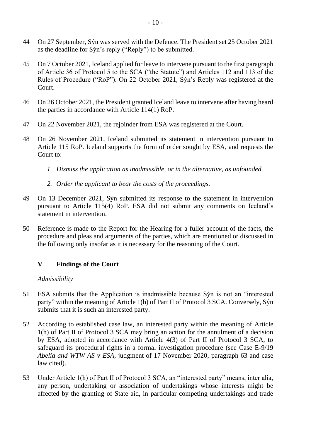- 44 On 27 September, Sýn was served with the Defence. The President set 25 October 2021 as the deadline for Sýn's reply ("Reply") to be submitted.
- 45 On 7 October 2021, Iceland applied for leave to intervene pursuant to the first paragraph of Article 36 of Protocol 5 to the SCA ("the Statute") and Articles 112 and 113 of the Rules of Procedure ("RoP"). On 22 October 2021, Sýn's Reply was registered at the Court.
- 46 On 26 October 2021, the President granted Iceland leave to intervene after having heard the parties in accordance with Article 114(1) RoP.
- 47 On 22 November 2021, the rejoinder from ESA was registered at the Court.
- 48 On 26 November 2021, Iceland submitted its statement in intervention pursuant to Article 115 RoP. Iceland supports the form of order sought by ESA, and requests the Court to:
	- *1. Dismiss the application as inadmissible, or in the alternative, as unfounded.*
	- *2. Order the applicant to bear the costs of the proceedings.*
- 49 On 13 December 2021, Sýn submitted its response to the statement in intervention pursuant to Article 115(4) RoP. ESA did not submit any comments on Iceland's statement in intervention.
- 50 Reference is made to the Report for the Hearing for a fuller account of the facts, the procedure and pleas and arguments of the parties, which are mentioned or discussed in the following only insofar as it is necessary for the reasoning of the Court.

## **V Findings of the Court**

## *Admissibility*

- 51 ESA submits that the Application is inadmissible because Sýn is not an "interested party" within the meaning of Article 1(h) of Part II of Protocol 3 SCA. Conversely, Sýn submits that it is such an interested party.
- 52 According to established case law, an interested party within the meaning of Article 1(h) of Part II of Protocol 3 SCA may bring an action for the annulment of a decision by ESA, adopted in accordance with Article 4(3) of Part II of Protocol 3 SCA, to safeguard its procedural rights in a formal investigation procedure (see Case E-9/19 *Abelia and WTW AS* v *ESA*, judgment of 17 November 2020, paragraph 63 and case law cited).
- 53 Under Article 1(h) of Part II of Protocol 3 SCA, an "interested party" means, inter alia, any person, undertaking or association of undertakings whose interests might be affected by the granting of State aid, in particular competing undertakings and trade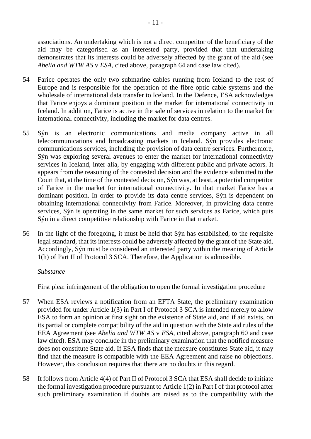associations. An undertaking which is not a direct competitor of the beneficiary of the aid may be categorised as an interested party, provided that that undertaking demonstrates that its interests could be adversely affected by the grant of the aid (see *Abelia and WTW AS* v *ESA*, cited above, paragraph 64 and case law cited).

- 54 Farice operates the only two submarine cables running from Iceland to the rest of Europe and is responsible for the operation of the fibre optic cable systems and the wholesale of international data transfer to Iceland. In the Defence, ESA acknowledges that Farice enjoys a dominant position in the market for international connectivity in Iceland. In addition, Farice is active in the sale of services in relation to the market for international connectivity, including the market for data centres.
- 55 Sýn is an electronic communications and media company active in all telecommunications and broadcasting markets in Iceland. Sýn provides electronic communications services, including the provision of data centre services. Furthermore, Sýn was exploring several avenues to enter the market for international connectivity services in Iceland, inter alia, by engaging with different public and private actors. It appears from the reasoning of the contested decision and the evidence submitted to the Court that, at the time of the contested decision, Sýn was, at least, a potential competitor of Farice in the market for international connectivity. In that market Farice has a dominant position. In order to provide its data centre services, Sýn is dependent on obtaining international connectivity from Farice. Moreover, in providing data centre services, Sýn is operating in the same market for such services as Farice, which puts Sýn in a direct competitive relationship with Farice in that market.
- 56 In the light of the foregoing, it must be held that Sýn has established, to the requisite legal standard, that its interests could be adversely affected by the grant of the State aid. Accordingly, Sýn must be considered an interested party within the meaning of Article 1(h) of Part II of Protocol 3 SCA. Therefore, the Application is admissible.

#### *Substance*

First plea: infringement of the obligation to open the formal investigation procedure

- 57 When ESA reviews a notification from an EFTA State, the preliminary examination provided for under Article 1(3) in Part I of Protocol 3 SCA is intended merely to allow ESA to form an opinion at first sight on the existence of State aid, and if aid exists, on its partial or complete compatibility of the aid in question with the State aid rules of the EEA Agreement (see *Abelia and WTW AS* v *ESA*, cited above, paragraph 60 and case law cited). ESA may conclude in the preliminary examination that the notified measure does not constitute State aid. If ESA finds that the measure constitutes State aid, it may find that the measure is compatible with the EEA Agreement and raise no objections. However, this conclusion requires that there are no doubts in this regard.
- 58 It follows from Article 4(4) of Part II of Protocol 3 SCA that ESA shall decide to initiate the formal investigation procedure pursuant to Article 1(2) in Part I of that protocol after such preliminary examination if doubts are raised as to the compatibility with the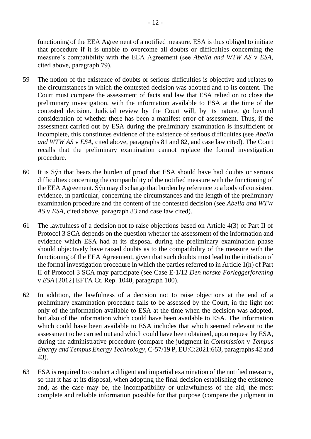functioning of the EEA Agreement of a notified measure. ESA is thus obliged to initiate that procedure if it is unable to overcome all doubts or difficulties concerning the measure's compatibility with the EEA Agreement (see *Abelia and WTW AS* v *ESA*, cited above, paragraph 79).

- 59 The notion of the existence of doubts or serious difficulties is objective and relates to the circumstances in which the contested decision was adopted and to its content. The Court must compare the assessment of facts and law that ESA relied on to close the preliminary investigation, with the information available to ESA at the time of the contested decision. Judicial review by the Court will, by its nature, go beyond consideration of whether there has been a manifest error of assessment. Thus, if the assessment carried out by ESA during the preliminary examination is insufficient or incomplete, this constitutes evidence of the existence of serious difficulties (see *Abelia and WTW AS* v *ESA*, cited above, paragraphs 81 and 82, and case law cited). The Court recalls that the preliminary examination cannot replace the formal investigation procedure.
- 60 It is Sýn that bears the burden of proof that ESA should have had doubts or serious difficulties concerning the compatibility of the notified measure with the functioning of the EEA Agreement. Sýn may discharge that burden by reference to a body of consistent evidence, in particular, concerning the circumstances and the length of the preliminary examination procedure and the content of the contested decision (see *Abelia and WTW AS* v *ESA*, cited above, paragraph 83 and case law cited).
- 61 The lawfulness of a decision not to raise objections based on Article 4(3) of Part II of Protocol 3 SCA depends on the question whether the assessment of the information and evidence which ESA had at its disposal during the preliminary examination phase should objectively have raised doubts as to the compatibility of the measure with the functioning of the EEA Agreement, given that such doubts must lead to the initiation of the formal investigation procedure in which the parties referred to in Article 1(h) of Part II of Protocol 3 SCA may participate (see Case E-1/12 *Den norske Forleggerforening*  v *ESA* [2012] EFTA Ct. Rep. 1040, paragraph 100).
- 62 In addition, the lawfulness of a decision not to raise objections at the end of a preliminary examination procedure falls to be assessed by the Court, in the light not only of the information available to ESA at the time when the decision was adopted, but also of the information which could have been available to ESA. The information which could have been available to ESA includes that which seemed relevant to the assessment to be carried out and which could have been obtained, upon request by ESA, during the administrative procedure (compare the judgment in *Commission* v *Tempus Energy and Tempus Energy Technology*, C-57/19 P, EU:C:2021:663, paragraphs 42 and 43).
- 63 ESA is required to conduct a diligent and impartial examination of the notified measure, so that it has at its disposal, when adopting the final decision establishing the existence and, as the case may be, the incompatibility or unlawfulness of the aid, the most complete and reliable information possible for that purpose (compare the judgment in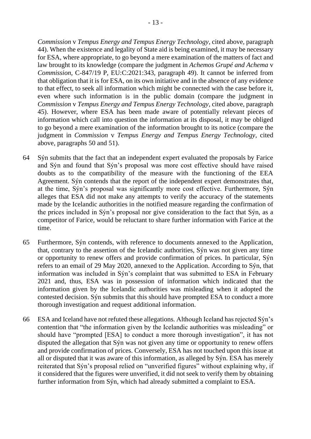*Commission* v *Tempus Energy and Tempus Energy Technology*, cited above, paragraph 44). When the existence and legality of State aid is being examined, it may be necessary for ESA, where appropriate, to go beyond a mere examination of the matters of fact and law brought to its knowledge (compare the judgment in *Achemos Grupé and Achema* v *Commission*, C-847/19 P, EU:C:2021:343, paragraph 49). It cannot be inferred from that obligation that it is for ESA, on its own initiative and in the absence of any evidence to that effect, to seek all information which might be connected with the case before it, even where such information is in the public domain (compare the judgment in *Commission* v *Tempus Energy and Tempus Energy Technology*, cited above, paragraph 45). However, where ESA has been made aware of potentially relevant pieces of information which call into question the information at its disposal, it may be obliged to go beyond a mere examination of the information brought to its notice (compare the judgment in *Commission* v *Tempus Energy and Tempus Energy Technology*, cited above, paragraphs 50 and 51).

- 64 Sýn submits that the fact that an independent expert evaluated the proposals by Farice and Sýn and found that Sýn's proposal was more cost effective should have raised doubts as to the compatibility of the measure with the functioning of the EEA Agreement. Sýn contends that the report of the independent expert demonstrates that, at the time, Sýn's proposal was significantly more cost effective. Furthermore, Sýn alleges that ESA did not make any attempts to verify the accuracy of the statements made by the Icelandic authorities in the notified measure regarding the confirmation of the prices included in Sýn's proposal nor give consideration to the fact that Sýn, as a competitor of Farice, would be reluctant to share further information with Farice at the time.
- 65 Furthermore, Sýn contends, with reference to documents annexed to the Application, that, contrary to the assertion of the Icelandic authorities, Sýn was not given any time or opportunity to renew offers and provide confirmation of prices. In particular, Sýn refers to an email of 29 May 2020, annexed to the Application. According to Sýn, that information was included in Sýn's complaint that was submitted to ESA in February 2021 and, thus, ESA was in possession of information which indicated that the information given by the Icelandic authorities was misleading when it adopted the contested decision. Sýn submits that this should have prompted ESA to conduct a more thorough investigation and request additional information.
- 66 ESA and Iceland have not refuted these allegations. Although Iceland has rejected Sýn's contention that "the information given by the Icelandic authorities was misleading" or should have "prompted [ESA] to conduct a more thorough investigation", it has not disputed the allegation that Sýn was not given any time or opportunity to renew offers and provide confirmation of prices. Conversely, ESA has not touched upon this issue at all or disputed that it was aware of this information, as alleged by Sýn. ESA has merely reiterated that Sýn's proposal relied on "unverified figures" without explaining why, if it considered that the figures were unverified, it did not seek to verify them by obtaining further information from Sýn, which had already submitted a complaint to ESA.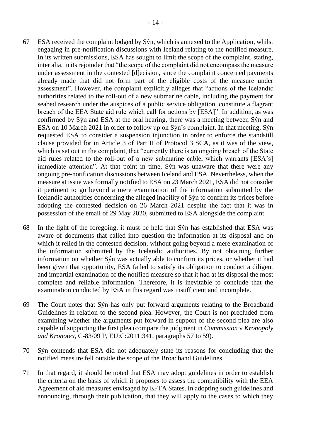- 67 ESA received the complaint lodged by Sýn, which is annexed to the Application, whilst engaging in pre-notification discussions with Iceland relating to the notified measure. In its written submissions, ESA has sought to limit the scope of the complaint, stating, inter alia, in its rejoinder that "the scope of the complaint did not encompass the measure under assessment in the contested [d]ecision, since the complaint concerned payments already made that did not form part of the eligible costs of the measure under assessment". However, the complaint explicitly alleges that "actions of the Icelandic authorities related to the roll-out of a new submarine cable, including the payment for seabed research under the auspices of a public service obligation, constitute a flagrant breach of the EEA State aid rule which call for actions by [ESA]". In addition, as was confirmed by Sýn and ESA at the oral hearing, there was a meeting between Sýn and ESA on 10 March 2021 in order to follow up on Sýn's complaint. In that meeting, Sýn requested ESA to consider a suspension injunction in order to enforce the standstill clause provided for in Article 3 of Part II of Protocol 3 SCA, as it was of the view, which is set out in the complaint, that "currently there is an ongoing breach of the State aid rules related to the roll-out of a new submarine cable, which warrants [ESA's] immediate attention". At that point in time, Sýn was unaware that there were any ongoing pre-notification discussions between Iceland and ESA. Nevertheless, when the measure at issue was formally notified to ESA on 23 March 2021, ESA did not consider it pertinent to go beyond a mere examination of the information submitted by the Icelandic authorities concerning the alleged inability of Sýn to confirm its prices before adopting the contested decision on 26 March 2021 despite the fact that it was in possession of the email of 29 May 2020, submitted to ESA alongside the complaint.
- 68 In the light of the foregoing, it must be held that Sýn has established that ESA was aware of documents that called into question the information at its disposal and on which it relied in the contested decision, without going beyond a mere examination of the information submitted by the Icelandic authorities. By not obtaining further information on whether Sýn was actually able to confirm its prices, or whether it had been given that opportunity, ESA failed to satisfy its obligation to conduct a diligent and impartial examination of the notified measure so that it had at its disposal the most complete and reliable information. Therefore, it is inevitable to conclude that the examination conducted by ESA in this regard was insufficient and incomplete.
- 69 The Court notes that Sýn has only put forward arguments relating to the Broadband Guidelines in relation to the second plea. However, the Court is not precluded from examining whether the arguments put forward in support of the second plea are also capable of supporting the first plea (compare the judgment in *Commission* v *Kronopoly and Kronotex*, C-83/09 P, EU:C:2011:341, paragraphs 57 to 59).
- 70 Sýn contends that ESA did not adequately state its reasons for concluding that the notified measure fell outside the scope of the Broadband Guidelines.
- 71 In that regard, it should be noted that ESA may adopt guidelines in order to establish the criteria on the basis of which it proposes to assess the compatibility with the EEA Agreement of aid measures envisaged by EFTA States. In adopting such guidelines and announcing, through their publication, that they will apply to the cases to which they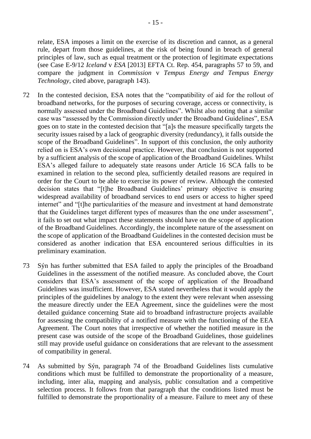relate, ESA imposes a limit on the exercise of its discretion and cannot, as a general rule, depart from those guidelines, at the risk of being found in breach of general principles of law, such as equal treatment or the protection of legitimate expectations (see Case E-9/12 *Iceland* v *ESA* [2013] EFTA Ct. Rep. 454, paragraphs 57 to 59, and compare the judgment in *Commission* v *Tempus Energy and Tempus Energy Technology*, cited above, paragraph 143).

- 72 In the contested decision, ESA notes that the "compatibility of aid for the rollout of broadband networks, for the purposes of securing coverage, access or connectivity, is normally assessed under the Broadband Guidelines". Whilst also noting that a similar case was "assessed by the Commission directly under the Broadband Guidelines", ESA goes on to state in the contested decision that "[a]s the measure specifically targets the security issues raised by a lack of geographic diversity (redundancy), it falls outside the scope of the Broadband Guidelines". In support of this conclusion, the only authority relied on is ESA's own decisional practice. However, that conclusion is not supported by a sufficient analysis of the scope of application of the Broadband Guidelines. Whilst ESA's alleged failure to adequately state reasons under Article 16 SCA falls to be examined in relation to the second plea, sufficiently detailed reasons are required in order for the Court to be able to exercise its power of review. Although the contested decision states that "[t]he Broadband Guidelines' primary objective is ensuring widespread availability of broadband services to end users or access to higher speed internet" and "[t]he particularities of the measure and investment at hand demonstrate that the Guidelines target different types of measures than the one under assessment", it fails to set out what impact these statements should have on the scope of application of the Broadband Guidelines. Accordingly, the incomplete nature of the assessment on the scope of application of the Broadband Guidelines in the contested decision must be considered as another indication that ESA encountered serious difficulties in its preliminary examination.
- 73 Sýn has further submitted that ESA failed to apply the principles of the Broadband Guidelines in the assessment of the notified measure. As concluded above, the Court considers that ESA's assessment of the scope of application of the Broadband Guidelines was insufficient. However, ESA stated nevertheless that it would apply the principles of the guidelines by analogy to the extent they were relevant when assessing the measure directly under the EEA Agreement, since the guidelines were the most detailed guidance concerning State aid to broadband infrastructure projects available for assessing the compatibility of a notified measure with the functioning of the EEA Agreement. The Court notes that irrespective of whether the notified measure in the present case was outside of the scope of the Broadband Guidelines, those guidelines still may provide useful guidance on considerations that are relevant to the assessment of compatibility in general.
- 74 As submitted by Sýn, paragraph 74 of the Broadband Guidelines lists cumulative conditions which must be fulfilled to demonstrate the proportionality of a measure, including, inter alia, mapping and analysis, public consultation and a competitive selection process. It follows from that paragraph that the conditions listed must be fulfilled to demonstrate the proportionality of a measure. Failure to meet any of these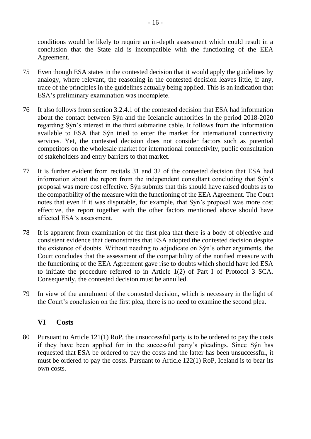conditions would be likely to require an in-depth assessment which could result in a conclusion that the State aid is incompatible with the functioning of the EEA Agreement.

- 75 Even though ESA states in the contested decision that it would apply the guidelines by analogy, where relevant, the reasoning in the contested decision leaves little, if any, trace of the principles in the guidelines actually being applied. This is an indication that ESA's preliminary examination was incomplete.
- 76 It also follows from section 3.2.4.1 of the contested decision that ESA had information about the contact between Sýn and the Icelandic authorities in the period 2018-2020 regarding Sýn's interest in the third submarine cable. It follows from the information available to ESA that Sýn tried to enter the market for international connectivity services. Yet, the contested decision does not consider factors such as potential competitors on the wholesale market for international connectivity, public consultation of stakeholders and entry barriers to that market.
- 77 It is further evident from recitals 31 and 32 of the contested decision that ESA had information about the report from the independent consultant concluding that Sýn's proposal was more cost effective. Sýn submits that this should have raised doubts as to the compatibility of the measure with the functioning of the EEA Agreement. The Court notes that even if it was disputable, for example, that Sýn's proposal was more cost effective, the report together with the other factors mentioned above should have affected ESA's assessment.
- 78 It is apparent from examination of the first plea that there is a body of objective and consistent evidence that demonstrates that ESA adopted the contested decision despite the existence of doubts. Without needing to adjudicate on Sýn's other arguments, the Court concludes that the assessment of the compatibility of the notified measure with the functioning of the EEA Agreement gave rise to doubts which should have led ESA to initiate the procedure referred to in Article 1(2) of Part I of Protocol 3 SCA. Consequently, the contested decision must be annulled.
- 79 In view of the annulment of the contested decision, which is necessary in the light of the Court's conclusion on the first plea, there is no need to examine the second plea.

# **VI Costs**

80 Pursuant to Article 121(1) RoP, the unsuccessful party is to be ordered to pay the costs if they have been applied for in the successful party's pleadings. Since Sýn has requested that ESA be ordered to pay the costs and the latter has been unsuccessful, it must be ordered to pay the costs. Pursuant to Article 122(1) RoP, Iceland is to bear its own costs.